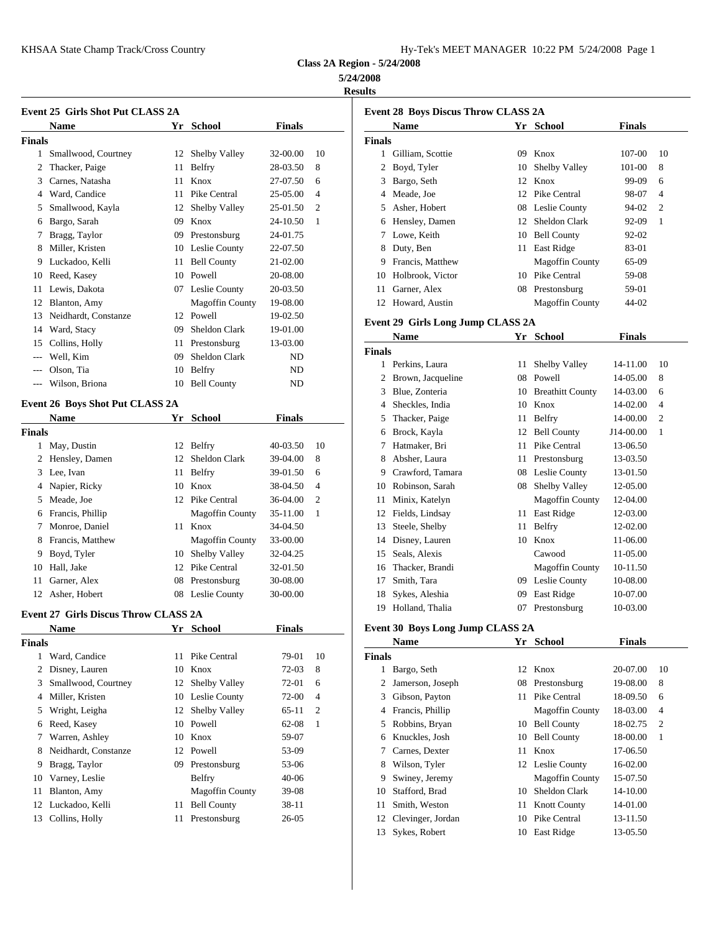| 1y-Tek's MEET MANAGER 10:22 PM 5/24/2008 Page 1 |  |  |  |
|-------------------------------------------------|--|--|--|
|-------------------------------------------------|--|--|--|

**Class 2A Region - 5/24/2008**

## **5/24/2008**

**Results**

|               | Event 25 Girls Shot Put CLASS 2A            |    |                        |               |                |                | Event 28 Boys         |
|---------------|---------------------------------------------|----|------------------------|---------------|----------------|----------------|-----------------------|
|               | <b>Name</b>                                 |    | Yr School              | <b>Finals</b> |                |                | Name                  |
| Finals        |                                             |    |                        |               |                | <b>Finals</b>  |                       |
|               | 1 Smallwood, Courtney                       |    | 12 Shelby Valley       | 32-00.00      | 10             |                | 1 Gilliam, So         |
|               | 2 Thacker, Paige                            |    | 11 Belfry              | 28-03.50      | 8              |                | 2 Boyd, Tyle          |
|               | 3 Carnes, Natasha                           |    | 11 Knox                | 27-07.50      | 6              |                | 3 Bargo, Set          |
|               | 4 Ward, Candice                             |    | 11 Pike Central        | 25-05.00      | 4              | $\overline{4}$ | Meade, Jo             |
| 5             | Smallwood, Kayla                            |    | 12 Shelby Valley       | 25-01.50      | 2              | 5              | Asher, Hol            |
|               | 6 Bargo, Sarah                              |    | 09 Knox                | 24-10.50      | 1              |                | 6 Hensley, L          |
|               | 7 Bragg, Taylor                             |    | 09 Prestonsburg        | 24-01.75      |                |                | 7 Lowe, Kei           |
|               | 8 Miller, Kristen                           |    | 10 Leslie County       | 22-07.50      |                | 8              | Duty, Ben             |
|               | 9 Luckadoo, Kelli                           | 11 | <b>Bell County</b>     | 21-02.00      |                | 9.             | Francis, M            |
|               | 10 Reed, Kasey                              |    | 10 Powell              | 20-08.00      |                | 10             | Holbrook,             |
|               | 11 Lewis, Dakota                            |    | 07 Leslie County       | 20-03.50      |                | 11             | Garner, Al            |
|               | 12 Blanton, Amy                             |    | <b>Magoffin County</b> | 19-08.00      |                |                | 12 Howard, A          |
|               | 13 Neidhardt, Constanze                     |    | 12 Powell              | 19-02.50      |                |                |                       |
|               | 14 Ward, Stacy                              |    | 09 Sheldon Clark       | 19-01.00      |                |                | <b>Event 29 Girls</b> |
| 15            | Collins, Holly                              |    | 11 Prestonsburg        | 13-03.00      |                |                | <b>Name</b>           |
| $---$         | Well, Kim                                   |    | 09 Sheldon Clark       | ND            |                | <b>Finals</b>  |                       |
|               | Olson, Tia                                  |    |                        |               |                |                | 1 Perkins, La         |
| $\cdots$      |                                             | 10 | <b>Belfry</b>          | ND            |                | $\mathbf{2}$   | Brown, Jac            |
|               | --- Wilson, Briona                          |    | 10 Bell County         | ND            |                | 3              | Blue, Zont            |
|               | Event 26 Boys Shot Put CLASS 2A             |    |                        |               |                | 4              | Sheckles, 1           |
|               | <b>Name</b>                                 | Yr | <b>School</b>          | <b>Finals</b> |                | 5              | Thacker, P            |
| <b>Finals</b> |                                             |    |                        |               |                | 6              | Brock, Kay            |
|               | 1 May, Dustin                               |    | 12 Belfry              | 40-03.50      | 10             |                | 7 Hatmaker,           |
|               | 2 Hensley, Damen                            |    | 12 Sheldon Clark       | 39-04.00      | 8              | 8              | Absher, La            |
|               | 3 Lee, Ivan                                 |    | 11 Belfry              | 39-01.50      | 6              | 9              | Crawford,             |
|               | 4 Napier, Ricky                             |    | 10 Knox                | 38-04.50      | $\overline{4}$ | 10             | Robinson,             |
|               | 5 Meade, Joe                                |    | 12 Pike Central        | 36-04.00      | 2              | 11             | Minix, Kat            |
|               | 6 Francis, Phillip                          |    | <b>Magoffin County</b> | 35-11.00      | 1              | 12             | Fields, Lin           |
|               | 7 Monroe, Daniel                            |    | 11 Knox                | 34-04.50      |                | 13             | Steele, She           |
|               | 8 Francis, Matthew                          |    | <b>Magoffin County</b> | 33-00.00      |                | 14             | Disney, La            |
|               | 9 Boyd, Tyler                               |    | 10 Shelby Valley       | 32-04.25      |                | 15             | Seals, Alex           |
|               | 10 Hall, Jake                               |    | 12 Pike Central        | 32-01.50      |                | 16             | Thacker, B            |
| 11            | Garner, Alex                                |    | 08 Prestonsburg        | 30-08.00      |                | 17             | Smith, Tar            |
|               | 12 Asher, Hobert                            |    | 08 Leslie County       | 30-00.00      |                | 18             | Sykes, Ale            |
|               |                                             |    |                        |               |                |                | 19 Holland, T         |
|               | <b>Event 27 Girls Discus Throw CLASS 2A</b> |    |                        |               |                |                |                       |
|               | <b>Name</b>                                 | Υr | School                 | <b>Finals</b> |                |                | <b>Event 30 Boys</b>  |
| <b>Finals</b> |                                             |    |                        |               |                |                | <b>Name</b>           |
| $\mathbf{1}$  | Ward, Candice                               | 11 | Pike Central           | 79-01         | 10             | Finals         |                       |
|               | 2 Disney, Lauren                            |    | 10 Knox                | $72-03$       | 8              |                | 1 Bargo, Set          |
| 3             | Smallwood, Courtney                         |    | 12 Shelby Valley       | 72-01         | 6              | 2              | Jamerson,             |
| 4             | Miller, Kristen                             |    | 10 Leslie County       | 72-00         | 4              | 3              | Gibson, Pa            |
| 5             | Wright, Leigha                              | 12 | Shelby Valley          | 65-11         | 2              | 4              | Francis, Ph           |
|               | 6 Reed, Kasey                               | 10 | Powell                 | 62-08         | $\mathbf{1}$   | 5              | Robbins, E            |
| 7             | Warren, Ashley                              | 10 | Knox                   | 59-07         |                | 6              | Knuckles,             |
| 8             | Neidhardt, Constanze                        |    | 12 Powell              | 53-09         |                | 7              | Carnes, De            |
| 9             | Bragg, Taylor                               |    | 09 Prestonsburg        | 53-06         |                | 8              | Wilson, Ty            |
| 10            | Varney, Leslie                              |    | Belfry                 | $40 - 06$     |                | 9              | Swiney, Je            |
| 11            | Blanton, Amy                                |    | <b>Magoffin County</b> | 39-08         |                |                | 10 Stafford, B        |

12 Luckadoo, Kelli 11 Bell County 38-11 Collins, Holly 11 Prestonsburg 26-05

|               | <b>Event 28 Boys Discus Throw CLASS 2A</b> |    |                        |               |              |
|---------------|--------------------------------------------|----|------------------------|---------------|--------------|
|               | Name                                       |    | Yr School              | <b>Finals</b> |              |
| <b>Finals</b> |                                            |    |                        |               |              |
|               | 1 Gilliam, Scottie                         | 09 | Knox                   | 107-00        | 10           |
|               | 2 Boyd, Tyler                              | 10 | Shelby Valley          | 101-00        | 8            |
|               | 3 Bargo, Seth                              |    | 12 Knox                | 99-09         | 6            |
|               | 4 Meade, Joe                               |    | 12 Pike Central        | 98-07         | 4            |
|               | 5 Asher, Hobert                            |    | 08 Leslie County       | 94-02         | 2            |
|               | 6 Hensley, Damen                           |    | 12 Sheldon Clark       | $92-09$       | 1            |
| 7             | Lowe, Keith                                |    | 10 Bell County         | 92-02         |              |
|               | 8 Duty, Ben                                |    | 11 East Ridge          | 83-01         |              |
| 9             | Francis, Matthew                           |    | Magoffin County        | 65-09         |              |
| 10            | Holbrook, Victor                           |    | 10 Pike Central        | 59-08         |              |
| 11            | Garner, Alex                               |    | 08 Prestonsburg        | 59-01         |              |
|               | 12 Howard, Austin                          |    | <b>Magoffin County</b> | 44-02         |              |
|               |                                            |    |                        |               |              |
|               | Event 29 Girls Long Jump CLASS 2A          |    |                        |               |              |
|               | <b>Name</b>                                |    | Yr School              | <b>Finals</b> |              |
| <b>Finals</b> |                                            |    |                        |               |              |
|               | 1 Perkins, Laura                           | 11 | Shelby Valley          | 14-11.00      | 10           |
|               | 2 Brown, Jacqueline                        |    | 08 Powell              | 14-05.00      | 8            |
|               | 3 Blue, Zonteria                           |    | 10 Breathitt County    | 14-03.00      | 6            |
|               | 4 Sheckles, India                          |    | $10$ Knox              | 14-02.00      | 4            |
| 5.            | Thacker, Paige                             |    | 11 Belfry              | 14-00.00      | 2            |
|               | 6 Brock, Kayla                             |    | 12 Bell County         | J14-00.00     | 1            |
| 7             | Hatmaker, Bri                              |    | 11 Pike Central        | 13-06.50      |              |
| 8             | Absher, Laura                              |    | 11 Prestonsburg        | 13-03.50      |              |
| 9.            | Crawford, Tamara                           |    | 08 Leslie County       | 13-01.50      |              |
| 10            | Robinson, Sarah                            |    | 08 Shelby Valley       | 12-05.00      |              |
| 11            | Minix, Katelyn                             |    | <b>Magoffin County</b> | 12-04.00      |              |
|               | 12 Fields, Lindsay                         |    | 11 East Ridge          | 12-03.00      |              |
| 13            | Steele, Shelby                             | 11 | Belfry                 | 12-02.00      |              |
| 14            | Disney, Lauren                             |    | 10 Knox                | 11-06.00      |              |
| 15            | Seals, Alexis                              |    | Cawood                 | 11-05.00      |              |
| 16            | Thacker, Brandi                            |    | <b>Magoffin County</b> | 10-11.50      |              |
| 17            | Smith, Tara                                |    | 09 Leslie County       | 10-08.00      |              |
| 18            | Sykes, Aleshia                             |    | 09 East Ridge          | 10-07.00      |              |
| 19            | Holland, Thalia                            | 07 | Prestonsburg           | 10-03.00      |              |
|               | Event 30 Boys Long Jump CLASS 2A           |    |                        |               |              |
|               | Name                                       |    | Yr School              | <b>Finals</b> |              |
| <b>Finals</b> |                                            |    |                        |               |              |
| $\mathbf{1}$  | Bargo, Seth                                | 12 | Knox                   | 20-07.00      | 10           |
| 2             | Jamerson, Joseph                           | 08 | Prestonsburg           | 19-08.00      | 8            |
| 3             | Gibson, Payton                             | 11 | Pike Central           | 18-09.50      | 6            |
| 4             | Francis, Phillip                           |    | <b>Magoffin County</b> | 18-03.00      | 4            |
| 5             | Robbins, Bryan                             |    | 10 Bell County         | 18-02.75      | 2            |
| 6             | Knuckles, Josh                             | 10 | <b>Bell County</b>     | 18-00.00      | $\mathbf{1}$ |
| 7             | Carnes, Dexter                             | 11 | Knox                   | 17-06.50      |              |
| 8             | Wilson, Tyler                              |    | 12 Leslie County       | 16-02.00      |              |
| 9             | Swiney, Jeremy                             |    | <b>Magoffin County</b> | 15-07.50      |              |
| 10            | Stafford, Brad                             | 10 | Sheldon Clark          | 14-10.00      |              |
| 11            | Smith, Weston                              | 11 | <b>Knott County</b>    | 14-01.00      |              |
| 12            | Clevinger, Jordan                          |    | 10 Pike Central        | 13-11.50      |              |

Sykes, Robert 10 East Ridge 13-05.50